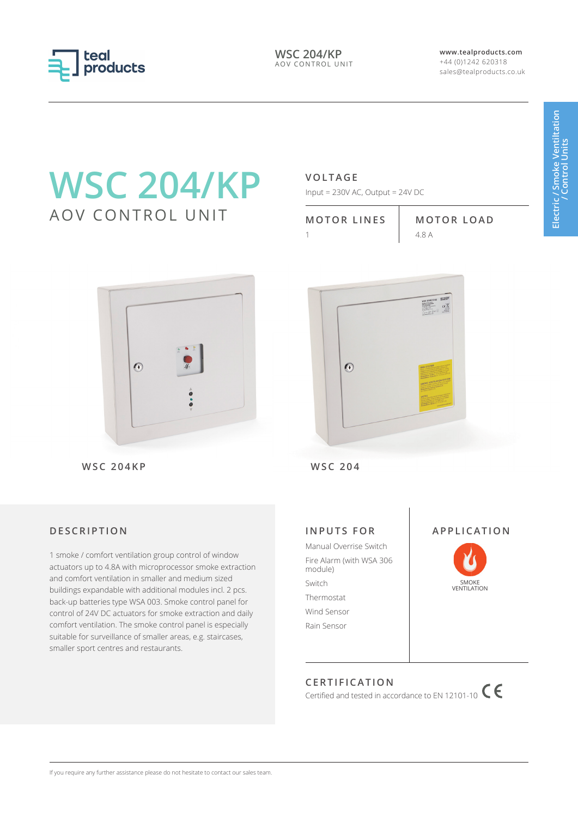

**WSC 204/KP** AOV CONTROL UNIT **www.tealproducts.com** +44 (0)1242 620318 sales@tealproducts.co.uk

# **WSC 204/KP** AOV CONTROL UNIT

# **VOLTAGE**

Input = 230V AC, Output = 24V DC

| <b>MOTOR LINES</b> |  |
|--------------------|--|
|                    |  |

**MOTOR LOAD** 1 4.8 A



**WSC 204KP WSC 204**

# **DESCRIPTION**

1 smoke / comfort ventilation group control of window actuators up to 4.8A with microprocessor smoke extraction and comfort ventilation in smaller and medium sized buildings expandable with additional modules incl. 2 pcs. back-up batteries type WSA 003. Smoke control panel for control of 24V DC actuators for smoke extraction and daily comfort ventilation. The smoke control panel is especially suitable for surveillance of smaller areas, e.g. staircases, smaller sport centres and restaurants.



# **INPUTS FOR**

Manual Overrise Switch Fire Alarm (with WSA 306 module) Switch Thermostat Wind Sensor Rain Sensor



SMOKE **VENTILATION** 

**APPLICATION**

# **CERTIFICATION**

Certified and tested in accordance to EN 12101-10  $\mathsf{C}$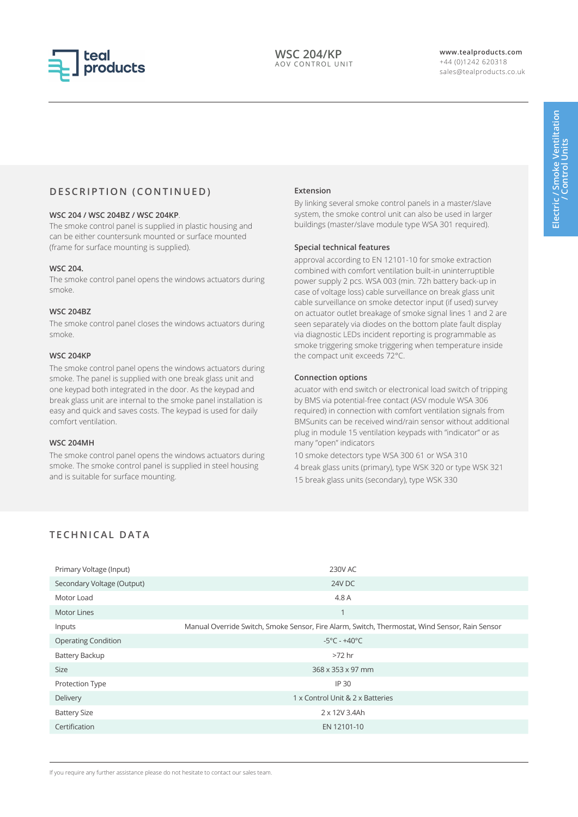

# **DESCRIPTION (CONTINUED)**

#### **WSC 204 / WSC 204BZ / WSC 204KP**.

The smoke control panel is supplied in plastic housing and can be either countersunk mounted or surface mounted (frame for surface mounting is supplied).

#### **WSC 204.**

The smoke control panel opens the windows actuators during smoke.

#### **WSC 204BZ**

The smoke control panel closes the windows actuators during smoke.

#### **WSC 204KP**

The smoke control panel opens the windows actuators during smoke. The panel is supplied with one break glass unit and one keypad both integrated in the door. As the keypad and break glass unit are internal to the smoke panel installation is easy and quick and saves costs. The keypad is used for daily comfort ventilation.

### **WSC 204MH**

The smoke control panel opens the windows actuators during smoke. The smoke control panel is supplied in steel housing and is suitable for surface mounting.

#### **Extension**

By linking several smoke control panels in a master/slave system, the smoke control unit can also be used in larger buildings (master/slave module type WSA 301 required).

#### **Special technical features**

approval according to EN 12101-10 for smoke extraction combined with comfort ventilation built-in uninterruptible power supply 2 pcs. WSA 003 (min. 72h battery back-up in case of voltage loss) cable surveillance on break glass unit cable surveillance on smoke detector input (if used) survey on actuator outlet breakage of smoke signal lines 1 and 2 are seen separately via diodes on the bottom plate fault display via diagnostic LEDs incident reporting is programmable as smoke triggering smoke triggering when temperature inside the compact unit exceeds 72°C.

#### **Connection options**

acuator with end switch or electronical load switch of tripping by BMS via potential-free contact (ASV module WSA 306 required) in connection with comfort ventilation signals from BMSunits can be received wind/rain sensor without additional plug in module 15 ventilation keypads with "indicator" or as many "open" indicators

10 smoke detectors type WSA 300 61 or WSA 310 4 break glass units (primary), type WSK 320 or type WSK 321 15 break glass units (secondary), type WSK 330

## **TECHNICAL DATA**

| Primary Voltage (Input)    | 230V AC                                                                                        |
|----------------------------|------------------------------------------------------------------------------------------------|
| Secondary Voltage (Output) | 24V DC                                                                                         |
| Motor Load                 | 4.8 A                                                                                          |
| <b>Motor Lines</b>         | $\overline{ }$                                                                                 |
| Inputs                     | Manual Override Switch, Smoke Sensor, Fire Alarm, Switch, Thermostat, Wind Sensor, Rain Sensor |
| <b>Operating Condition</b> | $-5^{\circ}$ C - $+40^{\circ}$ C                                                               |
| <b>Battery Backup</b>      | $>72$ hr                                                                                       |
| <b>Size</b>                | 368 x 353 x 97 mm                                                                              |
| Protection Type            | IP 30                                                                                          |
| Delivery                   | 1 x Control Unit & 2 x Batteries                                                               |
| <b>Battery Size</b>        | 2 x 12V 3.4Ah                                                                                  |
| Certification              | EN 12101-10                                                                                    |

If you require any further assistance please do not hesitate to contact our sales team.